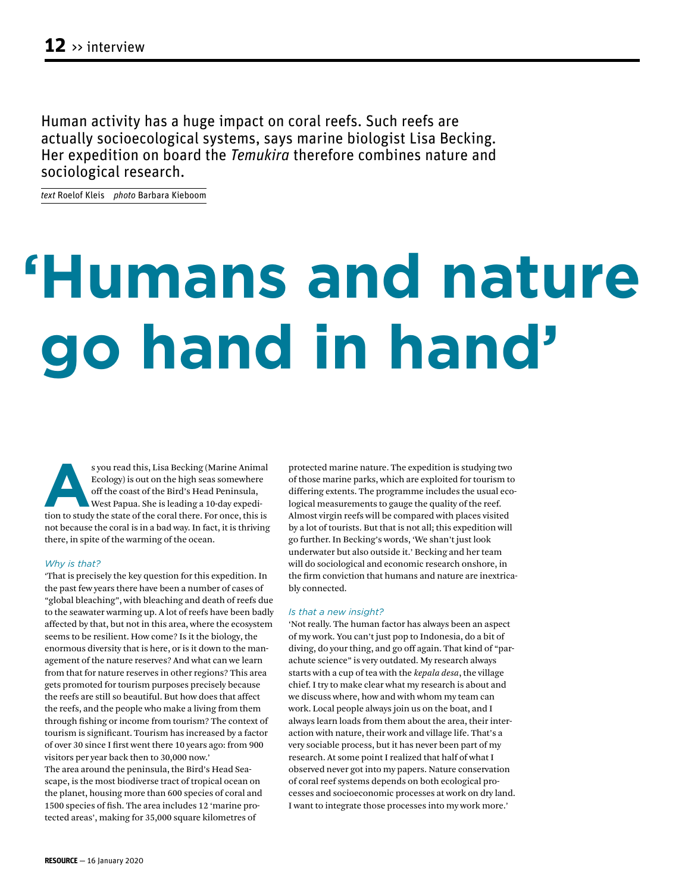Human activity has a huge impact on coral reefs. Such reefs are actually socioecological systems, says marine biologist Lisa Becking. Her expedition on board the *Temukira* therefore combines nature and sociological research.

*text* Roelof Kleis *photo* Barbara Kieboom

# **'Humans and nature go hand in hand'**

s you read this, Lisa Becking (Marine Animal Ecology) is out on the high seas somewhere of the coast of the Bird's Head Peninsula, West Papua. She is leading a 10-day expedition to study the state of the coral there. For o Ecology) is out on the high seas somewhere off the coast of the Bird's Head Peninsula, West Papua. She is leading a 10-day expedinot because the coral is in a bad way. In fact, it is thriving there, in spite of the warming of the ocean.

### *Why is that?*

'That is precisely the key question for this expedition. In the past few years there have been a number of cases of "global bleaching", with bleaching and death of reefs due to the seawater warming up. A lot of reefs have been badly affected by that, but not in this area, where the ecosystem seems to be resilient. How come? Is it the biology, the enormous diversity that is here, or is it down to the management of the nature reserves? And what can we learn from that for nature reserves in other regions? This area gets promoted for tourism purposes precisely because the reefs are still so beautiful. But how does that affect the reefs, and the people who make a living from them through fishing or income from tourism? The context of tourism is significant. Tourism has increased by a factor of over 30 since I first went there 10 years ago: from 900 visitors per year back then to 30,000 now.'

The area around the peninsula, the Bird's Head Seascape, is the most biodiverse tract of tropical ocean on the planet, housing more than 600 species of coral and 1500 species of fish. The area includes 12 'marine protected areas', making for 35,000 square kilometres of

protected marine nature. The expedition is studying two of those marine parks, which are exploited for tourism to differing extents. The programme includes the usual ecological measurements to gauge the quality of the reef. Almost virgin reefs will be compared with places visited by a lot of tourists. But that is not all; this expedition will go further. In Becking's words, 'We shan't just look underwater but also outside it.' Becking and her team will do sociological and economic research onshore, in the firm conviction that humans and nature are inextricably connected.

## *Is that a new insight?*

'Not really. The human factor has always been an aspect of my work. You can't just pop to Indonesia, do a bit of diving, do your thing, and go off again. That kind of "parachute science" is very outdated. My research always starts with a cup of tea with the *kepala desa*, the village chief. I try to make clear what my research is about and we discuss where, how and with whom my team can work. Local people always join us on the boat, and I always learn loads from them about the area, their interaction with nature, their work and village life. That's a very sociable process, but it has never been part of my research. At some point I realized that half of what I observed never got into my papers. Nature conservation of coral reef systems depends on both ecological processes and socioeconomic processes at work on dry land. I want to integrate those processes into my work more.'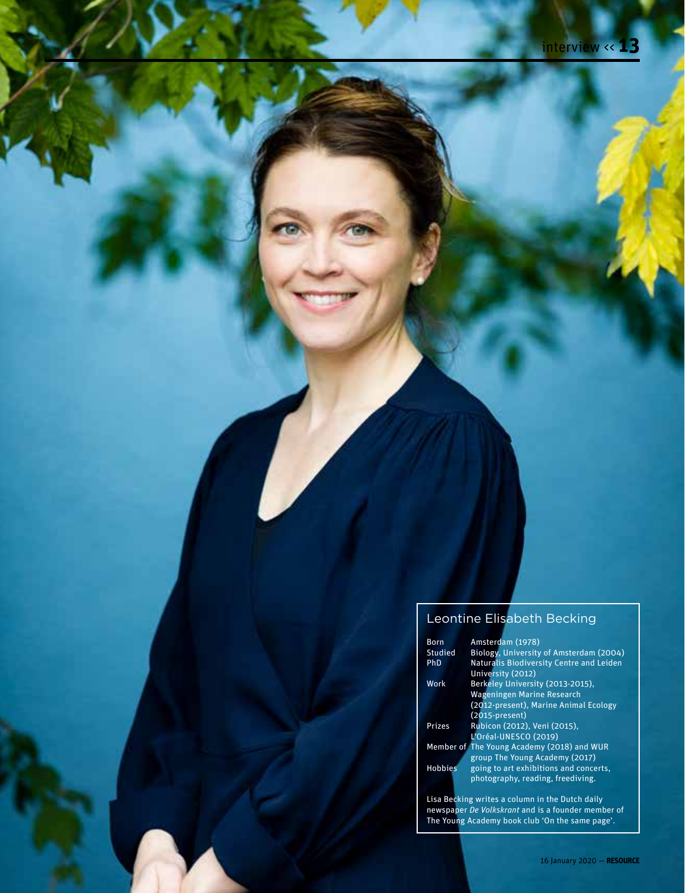# Leontine Elisabeth Becking

| <b>Born</b>    | Amsterdam (1978)                                |
|----------------|-------------------------------------------------|
| Studied        | Biology, University of Amsterdam (2004)         |
| PhD            | <b>Naturalis Biodiversity Centre and Leiden</b> |
|                | University (2012)                               |
| Work           | Berkeley University (2013-2015),                |
|                | <b>Wageningen Marine Research</b>               |
|                | (2012-present), Marine Animal Ecology           |
|                | $(2015-present)$                                |
| Prizes         | Rubicon (2012), Veni (2015),                    |
|                | L'Oréal-UNESCO (2019)                           |
|                | Member of The Young Academy (2018) and WUR      |
|                | group The Young Academy (2017)                  |
| <b>Hobbies</b> | going to art exhibitions and concerts,          |
|                | photography, reading, freediving.               |
|                | Lisa Becking writes a column in the Dutch daily |

newspaper *De Volkskrant* and is a founder member of The Young Academy book club 'On the same page'.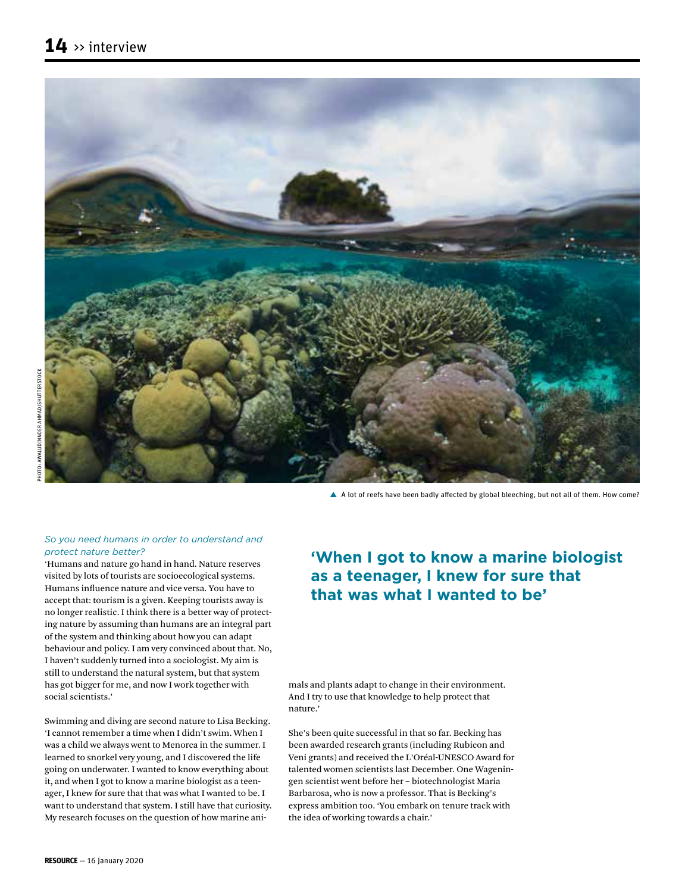

A lot of reefs have been badly affected by global bleeching, but not all of them. How come?

## *So you need humans in order to understand and protect nature better?*

'Humans and nature go hand in hand. Nature reserves visited by lots of tourists are socioecological systems. Humans influence nature and vice versa. You have to accept that: tourism is a given. Keeping tourists away is no longer realistic. I think there is a better way of protecting nature by assuming than humans are an integral part of the system and thinking about how you can adapt behaviour and policy. I am very convinced about that. No, I haven't suddenly turned into a sociologist. My aim is still to understand the natural system, but that system has got bigger for me, and now I work together with social scientists.'

Swimming and diving are second nature to Lisa Becking. 'I cannot remember a time when I didn't swim. When I was a child we always went to Menorca in the summer. I learned to snorkel very young, and I discovered the life going on underwater. I wanted to know everything about it, and when I got to know a marine biologist as a teenager, I knew for sure that that was what I wanted to be. I want to understand that system. I still have that curiosity. My research focuses on the question of how marine ani-

## **'When I got to know a marine biologist as a teenager, I knew for sure that that was what I wanted to be'**

mals and plants adapt to change in their environment. And I try to use that knowledge to help protect that nature.'

She's been quite successful in that so far. Becking has been awarded research grants (including Rubicon and Veni grants) and received the L'Oréal-UNESCO Award for talented women scientists last December. One Wageningen scientist went before her – biotechnologist Maria Barbarosa, who is now a professor. That is Becking's express ambition too. 'You embark on tenure track with the idea of working towards a chair.'